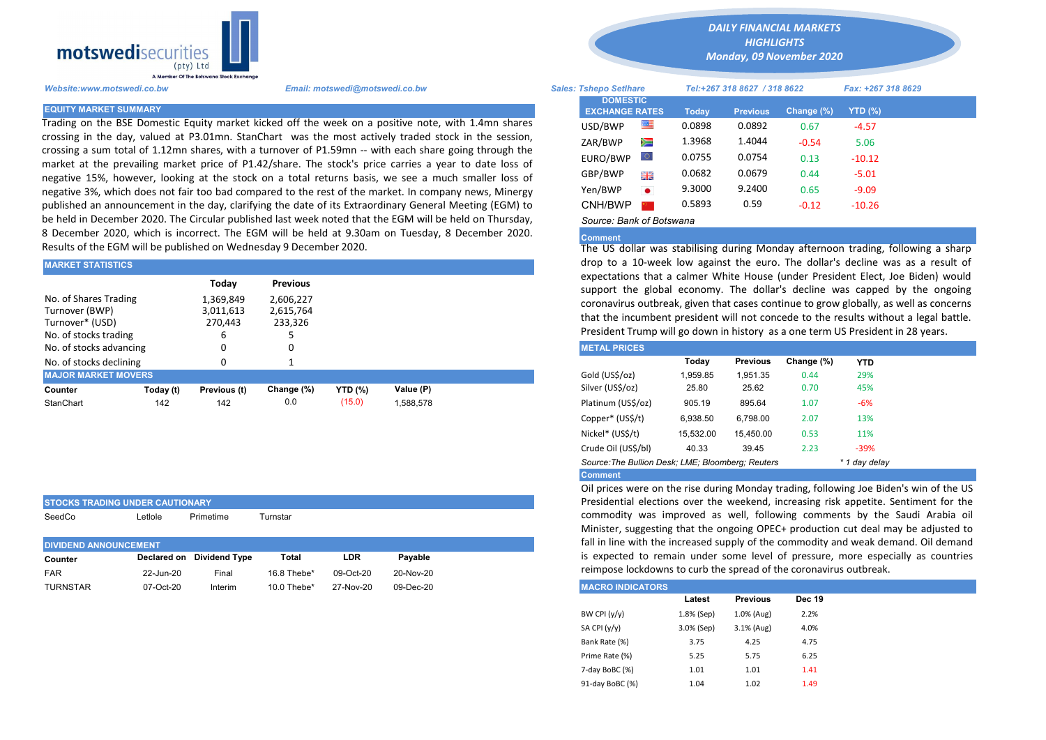

STOCKS TRADING UNDER CAUTIONARY

Trading on the BSE Domestic Equity market kicked off the week on a positive note, with 1.4mn shares crossing in the day, valued at P3.01mn. StanChart was the most actively traded stock in the session, crossing a sum total of 1.12mn shares, with a turnover of P1.59mn -- with each share going through the market at the prevailing market price of P1.42/share. The stock's price carries a year to date loss of negative 15%, however, looking at the stock on a total returns basis, we see a much smaller loss of negative 3%, which does not fair too bad compared to the rest of the market. In company news, Minergy published an announcement in the day, clarifying the date of its Extraordinary General Meeting (EGM) to be held in December 2020. The Circular published last week noted that the EGM will be held on Thursday, 8 December 2020, which is incorrect. The EGM will be held at 9.30am on Tuesday, 8 December 2020. Results of the EGM will be published on Wednesday 9 December 2020.

| <b>MARKET STATISTICS</b>                                                            |           |                                                 |                                                      | drop to a 10-week low against the euro. The dollar's decline wa |           |                                                                                                                                                                                                                                                                                                                                                       |          |                 |            |            |  |
|-------------------------------------------------------------------------------------|-----------|-------------------------------------------------|------------------------------------------------------|-----------------------------------------------------------------|-----------|-------------------------------------------------------------------------------------------------------------------------------------------------------------------------------------------------------------------------------------------------------------------------------------------------------------------------------------------------------|----------|-----------------|------------|------------|--|
| No. of Shares Trading<br>Turnover (BWP)<br>Turnover* (USD)<br>No. of stocks trading |           | Today<br>1.369.849<br>3,011,613<br>270.443<br>ь | <b>Previous</b><br>2.606.227<br>2,615,764<br>233,326 |                                                                 |           | expectations that a calmer White House (under President Elect, Jo<br>support the global economy. The dollar's decline was capped<br>coronavirus outbreak, given that cases continue to grow globally, as<br>that the incumbent president will not concede to the results withor<br>President Trump will go down in history as a one term US President |          |                 |            |            |  |
| No. of stocks advancing                                                             |           | 0                                               |                                                      |                                                                 |           | <b>METAL PRICES</b>                                                                                                                                                                                                                                                                                                                                   |          |                 |            |            |  |
| No. of stocks declining                                                             |           |                                                 |                                                      |                                                                 |           |                                                                                                                                                                                                                                                                                                                                                       | Today    | <b>Previous</b> | Change (%) | <b>YTD</b> |  |
| <b>MAJOR MARKET MOVERS</b>                                                          |           |                                                 |                                                      |                                                                 |           | Gold (US\$/oz)                                                                                                                                                                                                                                                                                                                                        | 1.959.85 | 1.951.35        | 0.44       | 29%        |  |
| Counter                                                                             | Today (t) | Previous (t)                                    | Change (%)                                           | <b>YTD</b> (%)                                                  | Value (P) | Silver (US\$/oz)                                                                                                                                                                                                                                                                                                                                      | 25.80    | 25.62           | 0.70       | 45%        |  |
| StanChart                                                                           | 142       | 142                                             | 0.0                                                  | (15.0)                                                          | 1,588,578 | Platinum (US\$/oz)                                                                                                                                                                                                                                                                                                                                    | 905.19   | 895.64          | 1.07       | $-6%$      |  |
|                                                                                     |           |                                                 |                                                      |                                                                 |           | .                                                                                                                                                                                                                                                                                                                                                     |          |                 |            |            |  |

| SeedCo                       | Letlole   | Primetime                 | Turnstar    |           |           |  |
|------------------------------|-----------|---------------------------|-------------|-----------|-----------|--|
|                              |           |                           |             |           |           |  |
| <b>DIVIDEND ANNOUNCEMENT</b> |           |                           |             |           |           |  |
| Counter                      |           | Declared on Dividend Type | Total       | LDR       | Pavable   |  |
| <b>FAR</b>                   | 22-Jun-20 | Final                     | 16.8 Thebe* | 09-Oct-20 | 20-Nov-20 |  |
| <b>TURNSTAR</b>              | 07-Oct-20 | Interim                   | 10.0 Thebe* | 27-Nov-20 | 09-Dec-20 |  |

*DAILY FINANCIAL MARKETS*

*HIGHLIGHTS Monday, 09 November 2020* 

| A Member Of the Botswand Stock Exchange |                                                                                                                                                                                                                 |                               |                                          |           |        |                              |            |                    |  |
|-----------------------------------------|-----------------------------------------------------------------------------------------------------------------------------------------------------------------------------------------------------------------|-------------------------------|------------------------------------------|-----------|--------|------------------------------|------------|--------------------|--|
| Website:www.motswedi.co.bw              | Email: motswedi@motswedi.co.bw                                                                                                                                                                                  | <b>Sales: Tshepo Setlhare</b> |                                          |           |        | Tel:+267 318 8627 / 318 8622 |            | Fax: +267 318 8629 |  |
| <b>EQUITY MARKET SUMMARY</b>            |                                                                                                                                                                                                                 |                               | <b>DOMESTIC</b><br><b>EXCHANGE RATES</b> |           | Today  | <b>Previous</b>              | Change (%) | <b>YTD (%)</b>     |  |
|                                         | Frading on the BSE Domestic Equity market kicked off the week on a positive note, with 1.4mn shares                                                                                                             |                               | USD/BWP                                  | ≝         | 0.0898 | 0.0892                       | 0.67       | $-4.57$            |  |
|                                         | rossing in the day, valued at P3.01mn. StanChart was the most actively traded stock in the session,                                                                                                             |                               | ZAR/BWP                                  | Ň         | 1.3968 | 1.4044                       | $-0.54$    | 5.06               |  |
|                                         | rossing a sum total of 1.12mn shares, with a turnover of P1.59mn -- with each share going through the<br>market at the prevailing market price of P1.42/share. The stock's price carries a year to date loss of |                               | EURO/BWP                                 | $\circ$   | 0.0755 | 0.0754                       | 0.13       | $-10.12$           |  |
|                                         | negative 15%, however, looking at the stock on a total returns basis, we see a much smaller loss of                                                                                                             |                               | GBP/BWP                                  | 開開        | 0.0682 | 0.0679                       | 0.44       | $-5.01$            |  |
|                                         | egative 3%, which does not fair too bad compared to the rest of the market. In company news, Minergy                                                                                                            |                               | Yen/BWP                                  | $\bullet$ | 9.3000 | 9.2400                       | 0.65       | $-9.09$            |  |
|                                         | oublished an announcement in the day, clarifying the date of its Extraordinary General Meeting (EGM) to                                                                                                         |                               | CNH/BWP                                  |           | 0.5893 | 0.59                         | $-0.12$    | $-10.26$           |  |
|                                         | e held in December 2020. The Circular published last week noted that the EGM will be held on Thursday,                                                                                                          |                               | Source: Bank of Botswana                 |           |        |                              |            |                    |  |

## Comment

The US dollar was stabilising during Monday afternoon trading, following a sharp drop to a 10-week low against the euro. The dollar's decline was as a result of expectations that a calmer White House (under President Elect, Joe Biden) would support the global economy. The dollar's decline was capped by the ongoing coronavirus outbreak, given that cases continue to grow globally, as well as concerns that the incumbent president will not concede to the results without a legal battle. President Trump will go down in history as a one term US President in 28 years.

| <b>METAL PRICES</b>                               |           |                 |            |            |
|---------------------------------------------------|-----------|-----------------|------------|------------|
|                                                   | Today     | <b>Previous</b> | Change (%) | <b>YTD</b> |
| Gold (US\$/oz)                                    | 1.959.85  | 1.951.35        | 0.44       | 29%        |
| Silver (US\$/oz)                                  | 25.80     | 25.62           | 0.70       | 45%        |
| Platinum (US\$/oz)                                | 905.19    | 895.64          | 1.07       | -6%        |
| Copper* (US\$/t)                                  | 6.938.50  | 6.798.00        | 2.07       | 13%        |
| Nickel* (US\$/t)                                  | 15,532.00 | 15,450.00       | 0.53       | 11%        |
| Crude Oil (US\$/bl)                               | 40.33     | 39.45           | 2.23       | -39%       |
| Source: The Bullion Desk: LME: Bloomberg: Reuters |           | * 1 day delay   |            |            |
| <b>Common And</b>                                 |           |                 |            |            |

Comment

Oil prices were on the rise during Monday trading, following Joe Biden's win of the US Presidential elections over the weekend, increasing risk appetite. Sentiment for the commodity was improved as well, following comments by the Saudi Arabia oil Minister, suggesting that the ongoing OPEC+ production cut deal may be adjusted to fall in line with the increased supply of the commodity and weak demand. Oil demand is expected to remain under some level of pressure, more especially as countries reimpose lockdowns to curb the spread of the coronavirus outbreak.

| <b>IMACRO INDICATORS</b> |            |                 |               |
|--------------------------|------------|-----------------|---------------|
|                          | Latest     | <b>Previous</b> | <b>Dec 19</b> |
| BW CPI $(y/y)$           | 1.8% (Sep) | 1.0% (Aug)      | 2.2%          |
| SA CPI (y/y)             | 3.0% (Sep) | 3.1% (Aug)      | 4.0%          |
| Bank Rate (%)            | 3.75       | 4.25            | 4.75          |
| Prime Rate (%)           | 5.25       | 5.75            | 6.25          |
| 7-day BoBC (%)           | 1.01       | 1.01            | 1.41          |
| 91-day BoBC (%)          | 1.04       | 1.02            | 1.49          |